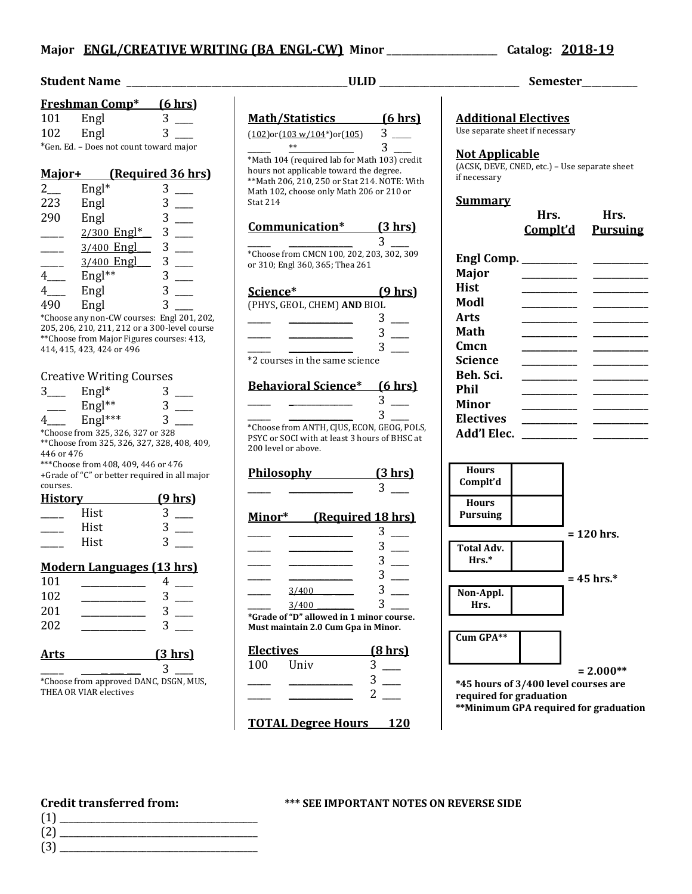# **Major ENGL/CREATIVE WRITING (BA\_ENGL-CW) Minor** \_\_\_\_\_\_\_\_\_\_\_\_\_\_\_\_\_\_\_\_\_\_ **Catalog: 2018-19**

## **Student Name**  $ULID$  **Semester**

|                                         | <b>Freshman Comp*</b> | (6 hrs) |
|-----------------------------------------|-----------------------|---------|
| 101                                     | Engl                  | 3       |
| 102                                     | Engl                  |         |
| *Gen. Ed. - Does not count toward major |                       |         |

# **Major+ (Required 36 hrs)**

| $2_{-}$ | $Engl*$     | 3 |
|---------|-------------|---|
| 223     | Engl        | 3 |
| 290     | Engl        | 3 |
|         | 2/300 Engl* | 3 |
|         | 3/400 Engl  | 3 |
|         | 3/400 Engl  | 3 |
|         | Engl**      | 3 |
|         | Engl        | 3 |
| 490     | Engl        | 3 |

\*Choose any non-CW courses: Engl 201, 202, 205, 206, 210, 211, 212 or a 300-level course \*\*Choose from Major Figures courses: 413, 414, 415, 423, 424 or 496

#### Creative Writing Courses

|                | $\frac{1}{2}$                     |                                               |
|----------------|-----------------------------------|-----------------------------------------------|
| 3.             | $Engl*$                           | 3                                             |
|                | Engl**                            | 3                                             |
| 4              | Engl ***                          | 3                                             |
|                | *Choose from 325, 326, 327 or 328 |                                               |
|                |                                   | **Choose from 325, 326, 327, 328, 408, 409,   |
| 446 or 476     |                                   |                                               |
|                |                                   | ***Choose from 408, 409, 446 or 476           |
|                |                                   | +Grade of "C" or better required in all major |
| courses.       |                                   |                                               |
| <b>History</b> |                                   | <u>(9 hrs)</u>                                |
|                | Hist                              | 3                                             |
|                | Hist                              | 3                                             |
|                | Hist                              | 3                                             |
|                |                                   |                                               |
|                |                                   | <b>Modern Languages (13 hrs)</b>              |
| 101            |                                   | 4                                             |
| 102            |                                   |                                               |
| 201            |                                   | ς                                             |

| Arts | $(3 \text{ hrs})$ |
|------|-------------------|
| 202  |                   |
| 201  |                   |
| 10Z  |                   |

| *Choose from annroved DANC DSCN MHS |  |
|-------------------------------------|--|

Choose from approved DANC, DSGN, MUS, THEA OR VIAR electives

\*\*Math 206, 210, 250 or Stat 214. NOTE: With Math 102, choose only Math 206 or 210 or Stat 214 **Communication\* (3 hrs)**  $3$ \*Choose from CMCN 100, 202, 203, 302, 309 or 310; Engl 360, 365; Thea 261 **Science\* (9 hrs)** (PHYS, GEOL, CHEM) **AND** BIOL  $\frac{1}{\sqrt{2\pi}}$  ,  $\frac{1}{\sqrt{2\pi}}$  ,  $\frac{3}{\sqrt{2\pi}}$  $\frac{1}{\sqrt{1-\frac{1}{2}}}\frac{3}{\sqrt{1-\frac{1}{2}}}$  $3 \Box$ \*2 courses in the same science **Behavioral Science\* (6 hrs)**  $3$   $\qquad$ \_\_\_\_\_ \_\_\_\_\_\_\_\_\_\_\_\_\_\_ 3 \_\_\_\_ \*Choose from ANTH, CJUS, ECON, GEOG, POLS, PSYC or SOCI with at least 3 hours of BHSC at 200 level or above. **Philosophy (3 hrs)**  $3 \Box$ **Minor\* (Required 18 hrs)**  $\overline{\phantom{a}3}$   $\overline{\phantom{a}3}$ 

|       | 3 |  |
|-------|---|--|
|       | 3 |  |
|       | 3 |  |
| 3/400 | 3 |  |
| 3/400 | 3 |  |

**\*Grade of "D" allowed in 1 minor course. Must maintain 2.0 Cum Gpa in Minor.**

| <b>Electives</b> |      | $(8 \text{ hrs})$ |  |
|------------------|------|-------------------|--|
| 100              | Univ |                   |  |
|                  |      |                   |  |
|                  |      |                   |  |

**TOTAL Degree Hours 120**

**Additional Electives** Use separate sheet if necessary **Not Applicable** (ACSK, DEVE, CNED, etc.) – Use separate sheet if necessary **Summary**

|                       | Hrs.<br>Complt'd                                                                                                                                                                                                                     | Hrs.<br><b>Pursuing</b>           |
|-----------------------|--------------------------------------------------------------------------------------------------------------------------------------------------------------------------------------------------------------------------------------|-----------------------------------|
| Engl Comp. __________ |                                                                                                                                                                                                                                      |                                   |
| Major                 | __________                                                                                                                                                                                                                           |                                   |
| Hist                  | ________________                                                                                                                                                                                                                     |                                   |
| Modl                  | ___________                                                                                                                                                                                                                          |                                   |
| Arts                  | __________                                                                                                                                                                                                                           |                                   |
| Math                  |                                                                                                                                                                                                                                      |                                   |
| Cmcn                  | __________                                                                                                                                                                                                                           |                                   |
| Science               | <u> The Common State State State State State State State State State State State State State State State State State State State State State State State State State State State State State State State State State State State</u> | the company of the company of the |
| Beh. Sci.             |                                                                                                                                                                                                                                      |                                   |
| Phil                  |                                                                                                                                                                                                                                      |                                   |
| Minor                 |                                                                                                                                                                                                                                      | _______                           |
| <b>Electives</b>      |                                                                                                                                                                                                                                      |                                   |
| Add'l Elec.           |                                                                                                                                                                                                                                      | _______                           |



**\*\*Minimum GPA required for graduation**

- (1) \_\_\_\_\_\_\_\_\_\_\_\_\_\_\_\_\_\_\_\_\_\_\_\_\_\_\_\_\_\_\_\_\_\_\_\_\_\_\_\_\_\_\_ (2) \_\_\_\_\_\_\_\_\_\_\_\_\_\_\_\_\_\_\_\_\_\_\_\_\_\_\_\_\_\_\_\_\_\_\_\_\_\_\_\_\_\_\_
- $(3)$

# **Credit transferred from: \*\*\* SEE IMPORTANT NOTES ON REVERSE SIDE**

**Math/Statistics (6 hrs)**  $(102)$ or $(103 \text{ w}/104^*)$ or $(105)$  3 \_\_\_

 $**$  3 \*Math 104 (required lab for Math 103) credit hours not applicable toward the degree.